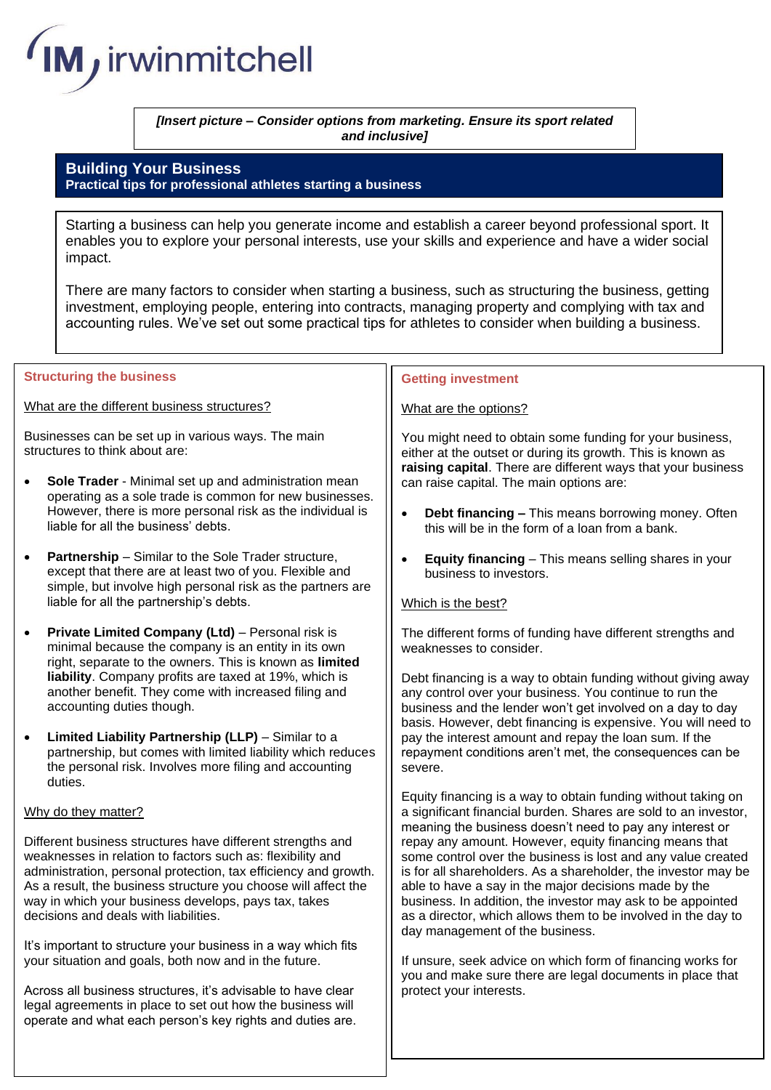

*[Insert picture – Consider options from marketing. Ensure its sport related and inclusive]*

# **Building Your Business Practical tips for professional athletes starting a business**

Starting a business can help you generate income and establish a career beyond professional sport. It enables you to explore your personal interests, use your skills and experience and have a wider social impact.

There are many factors to consider when starting a business, such as structuring the business, getting investment, employing people, entering into contracts, managing property and complying with tax and accounting rules. We've set out some practical tips for athletes to consider when building a business.

### **Structuring the business**

What are the different business structures?

Businesses can be set up in various ways. The main structures to think about are:

- **Sole Trader** Minimal set up and administration mean operating as a sole trade is common for new businesses. However, there is more personal risk as the individual is liable for all the business' debts.
- **Partnership** Similar to the Sole Trader structure, except that there are at least two of you. Flexible and simple, but involve high personal risk as the partners are liable for all the partnership's debts.
- **Private Limited Company (Ltd)**  Personal risk is minimal because the company is an entity in its own right, separate to the owners. This is known as **limited liability**. Company profits are taxed at 19%, which is another benefit. They come with increased filing and accounting duties though.
- **Limited Liability Partnership (LLP)**  Similar to a partnership, but comes with limited liability which reduces the personal risk. Involves more filing and accounting duties.

## Why do they matter?

Different business structures have different strengths and weaknesses in relation to factors such as: flexibility and administration, personal protection, tax efficiency and growth. As a result, the business structure you choose will affect the way in which your business develops, pays tax, takes decisions and deals with liabilities.

It's important to structure your business in a way which fits your situation and goals, both now and in the future.

Across all business structures, it's advisable to have clear legal agreements in place to set out how the business will operate and what each person's key rights and duties are.

## **Getting investment**

### What are the options?

You might need to obtain some funding for your business, either at the outset or during its growth. This is known as **raising capital**. There are different ways that your business can raise capital. The main options are:

- **Debt financing –** This means borrowing money. Often this will be in the form of a loan from a bank.
- **Equity financing** This means selling shares in your business to investors.

## Which is the best?

The different forms of funding have different strengths and weaknesses to consider.

Debt financing is a way to obtain funding without giving away any control over your business. You continue to run the business and the lender won't get involved on a day to day basis. However, debt financing is expensive. You will need to pay the interest amount and repay the loan sum. If the repayment conditions aren't met, the consequences can be severe.

Equity financing is a way to obtain funding without taking on a significant financial burden. Shares are sold to an investor, meaning the business doesn't need to pay any interest or repay any amount. However, equity financing means that some control over the business is lost and any value created is for all shareholders. As a shareholder, the investor may be able to have a say in the major decisions made by the business. In addition, the investor may ask to be appointed as a director, which allows them to be involved in the day to day management of the business.

If unsure, seek advice on which form of financing works for you and make sure there are legal documents in place that protect your interests.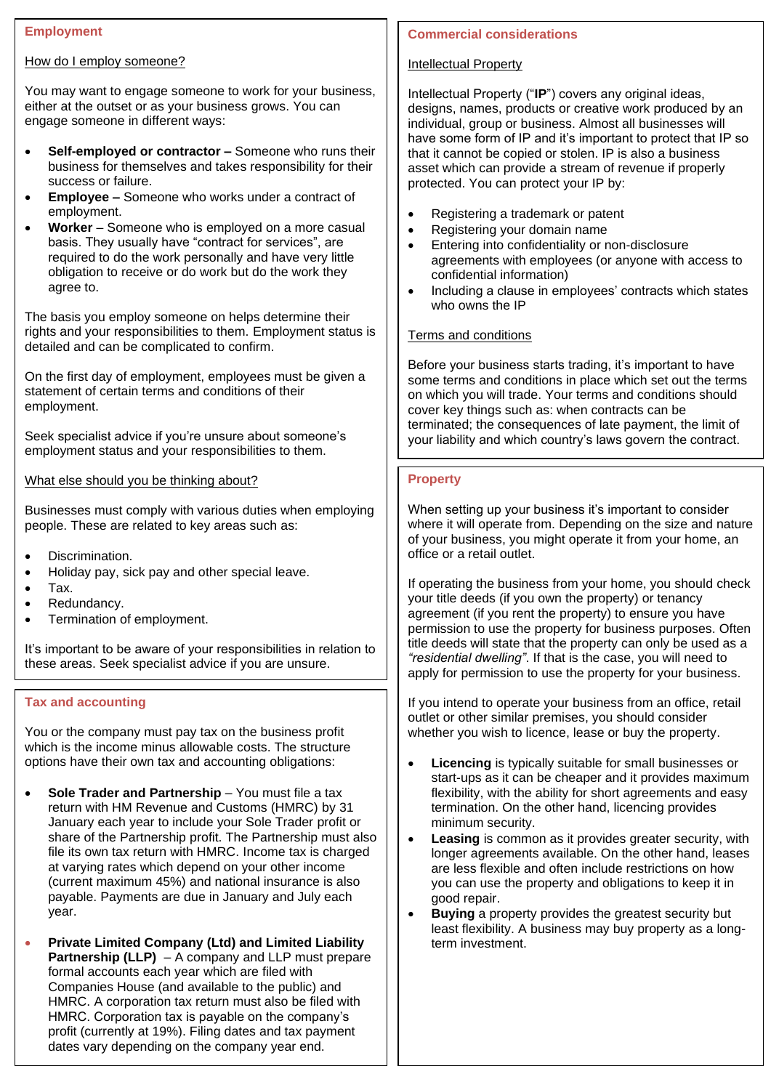## **Employment**

#### How do I employ someone?

You may want to engage someone to work for your business, either at the outset or as your business grows. You can engage someone in different ways:

- **Self-employed or contractor –** Someone who runs their business for themselves and takes responsibility for their success or failure.
- **Employee –** Someone who works under a contract of employment.
- **Worker** Someone who is employed on a more casual basis. They usually have "contract for services", are required to do the work personally and have very little obligation to receive or do work but do the work they agree to.

The basis you employ someone on helps determine their rights and your responsibilities to them. Employment status is detailed and can be complicated to confirm.

On the first day of employment, employees must be given a statement of certain terms and conditions of their employment.

Seek specialist advice if you're unsure about someone's employment status and your responsibilities to them.

What else should you be thinking about?

Businesses must comply with various duties when employing people. These are related to key areas such as:

- Discrimination.
- Holiday pay, sick pay and other special leave.
- Tax.
- Redundancy.
- Termination of employment.

It's important to be aware of your responsibilities in relation to these areas. Seek specialist advice if you are unsure.

# **Tax and accounting**

You or the company must pay tax on the business profit which is the income minus allowable costs. The structure options have their own tax and accounting obligations:

- **Sole Trader and Partnership** You must file a tax return with HM Revenue and Customs (HMRC) by 31 January each year to include your Sole Trader profit or share of the Partnership profit. The Partnership must also file its own tax return with HMRC. Income tax is charged at varying rates which depend on your other income (current maximum 45%) and national insurance is also payable. Payments are due in January and July each year.
- **Private Limited Company (Ltd) and Limited Liability Partnership (LLP)** – A company and LLP must prepare formal accounts each year which are filed with Companies House (and available to the public) and HMRC. A corporation tax return must also be filed with HMRC. Corporation tax is payable on the company's profit (currently at 19%). Filing dates and tax payment dates vary depending on the company year end.

# **Commercial considerations**

# Intellectual Property

Intellectual Property ("**IP**") covers any original ideas, designs, names, products or creative work produced by an individual, group or business. Almost all businesses will have some form of IP and it's important to protect that IP so that it cannot be copied or stolen. IP is also a business asset which can provide a stream of revenue if properly protected. You can protect your IP by:

- Registering a trademark or patent
- Registering your domain name
- Entering into confidentiality or non-disclosure agreements with employees (or anyone with access to confidential information)
- Including a clause in employees' contracts which states who owns the IP

# Terms and conditions

Before your business starts trading, it's important to have some terms and conditions in place which set out the terms on which you will trade. Your terms and conditions should cover key things such as: when contracts can be terminated; the consequences of late payment, the limit of your liability and which country's laws govern the contract.

## **Property**

When setting up your business it's important to consider where it will operate from. Depending on the size and nature of your business, you might operate it from your home, an office or a retail outlet.

If operating the business from your home, you should check your title deeds (if you own the property) or tenancy agreement (if you rent the property) to ensure you have permission to use the property for business purposes. Often title deeds will state that the property can only be used as a *"residential dwelling"*. If that is the case, you will need to apply for permission to use the property for your business.

If you intend to operate your business from an office, retail outlet or other similar premises, you should consider whether you wish to licence, lease or buy the property.

- **Licencing** is typically suitable for small businesses or start-ups as it can be cheaper and it provides maximum flexibility, with the ability for short agreements and easy termination. On the other hand, licencing provides minimum security.
- **Leasing** is common as it provides greater security, with longer agreements available. On the other hand, leases are less flexible and often include restrictions on how you can use the property and obligations to keep it in good repair.
- **Buying** a property provides the greatest security but least flexibility. A business may buy property as a longterm investment.